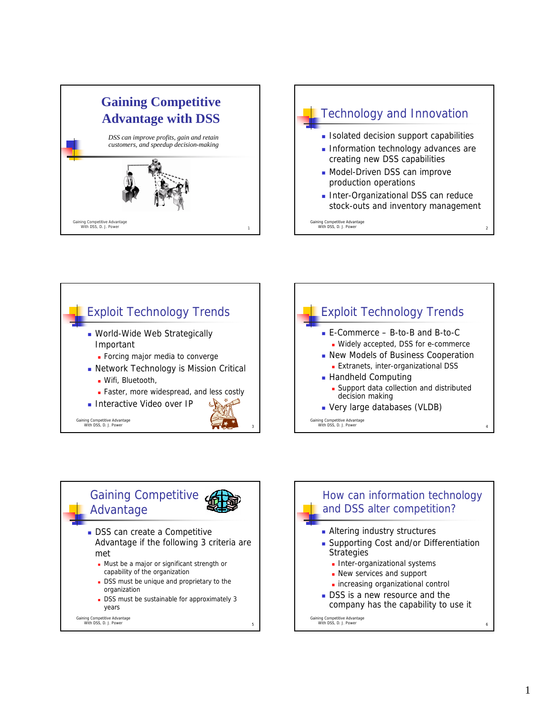







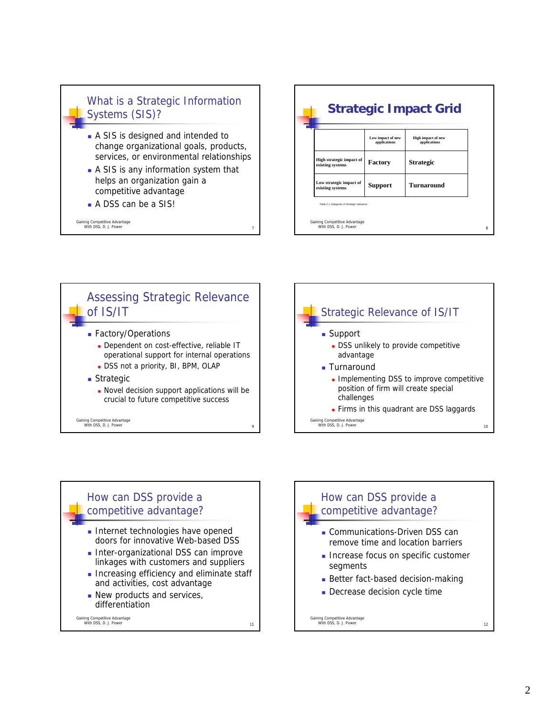## What is a Strategic Information Systems (SIS)?

- A SIS is designed and intended to change organizational goals, products, services, or environmental relationships
- A SIS is any information system that helps an organization gain a competitive advantage
- A DSS can be a SIS!

Gaining Competitive Advantage With DSS, D. J. Power 7







How can DSS provide a competitive advantage? Communications-Driven DSS can remove time and location barriers **Increase focus on specific customer** segments Better fact-based decision-making Decrease decision cycle time

Gaining Competitive Advantage With DSS, D. J. Power 12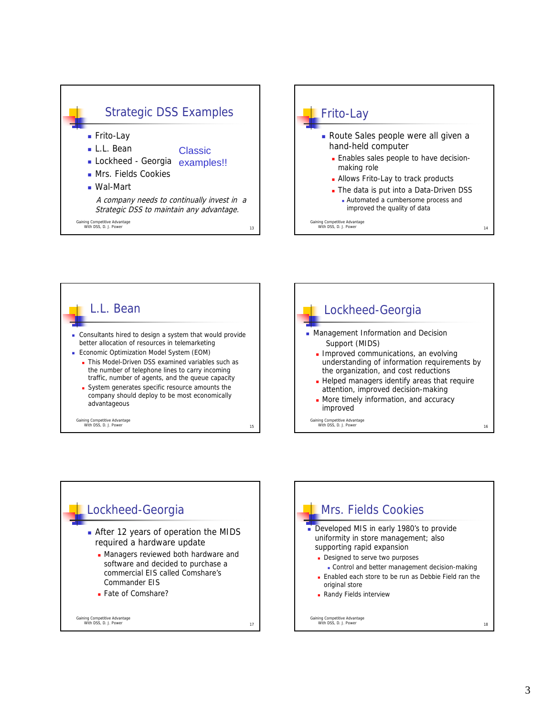







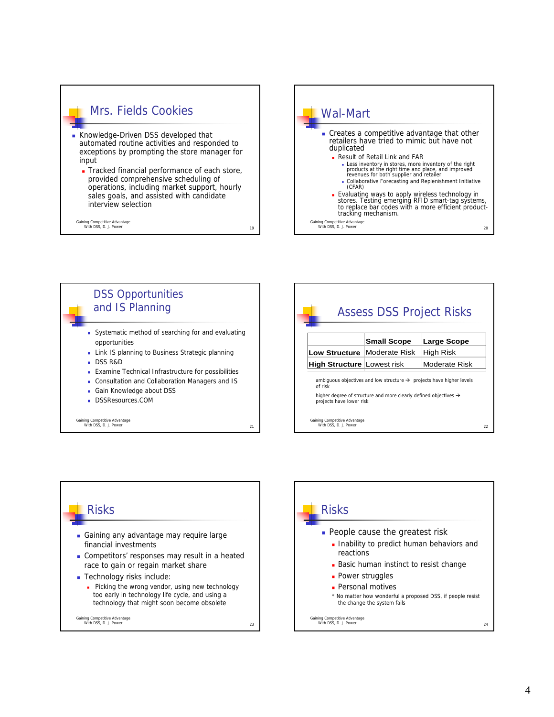

- automated routine activities and responded to exceptions by prompting the store manager for input
- Tracked financial performance of each store, provided comprehensive scheduling of operations, including market support, hourly sales goals, and assisted with candidate interview selection

Gaining Competitive Advantage<br>
With DSS, D. J. Power 19